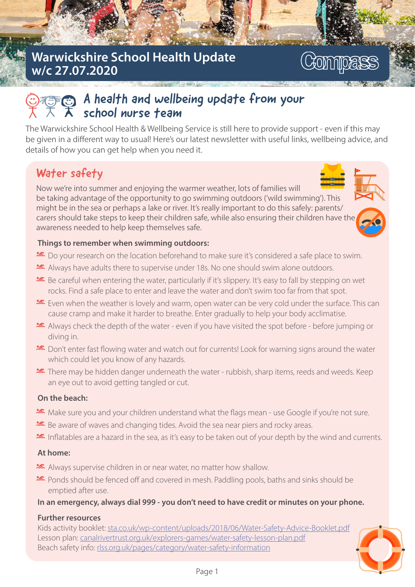## Warwickshire School Health Update w/c 27.07.2020

# **Commoass**

# $\widehat{\mathbb{C}}$  A health and wellbeing update from your school nurse team

The Warwickshire School Health & Wellbeing Service is still here to provide support - even if this may be given in a different way to usual! Here's our latest newsletter with useful links, wellbeing advice, and details of how you can get help when you need it.

# Water safety

Now we're into summer and enjoying the warmer weather, lots of families will be taking advantage of the opportunity to go swimming outdoors ('wild swimming'). This might be in the sea or perhaps a lake or river. It's really important to do this safely: parents/ carers should take steps to keep their children safe, while also ensuring their children have the awareness needed to help keep themselves safe.



### Things to remember when swimming outdoors:

- **■** Do your research on the location beforehand to make sure it's considered a safe place to swim.
- \* Always have adults there to supervise under 18s. No one should swim alone outdoors.
- E Be careful when entering the water, particularly if it's slippery. It's easy to fall by stepping on wet rocks. Find a safe place to enter and leave the water and don't swim too far from that spot.
- Even when the weather is lovely and warm, open water can be very cold under the surface. This can cause cramp and make it harder to breathe. Enter gradually to help your body acclimatise.
- A lways check the depth of the water even if you have visited the spot before before jumping or divina in.
- **EX** Don't enter fast flowing water and watch out for currents! Look for warning signs around the water which could let you know of any hazards.
- **•** There may be hidden danger underneath the water rubbish, sharp items, reeds and weeds. Keep an eye out to avoid getting tangled or cut.

### On the beach:

- **x** Make sure you and your children understand what the flags mean use Google if you're not sure.
- **■** Be aware of waves and changing tides. Avoid the sea near piers and rocky areas.
- In flatables are a hazard in the sea, as it's easy to be taken out of your depth by the wind and currents.

### At home:

- **EX** Always supervise children in or near water, no matter how shallow.
- \* Ponds should be fenced off and covered in mesh. Paddling pools, baths and sinks should be emptied after use.

### In an emergency, always dial 999 - you don't need to have credit or minutes on your phone.

### Further resources

Kids activity booklet: sta.co.uk/wp-content/uploads/2018/06/Water-Safety-Advice-Booklet.pdf Lesson plan: canalrivertrust.org.uk/explorers-games/water-safety-lesson-plan.pdf Beach safety info: rlss.org.uk/pages/category/water-safety-information